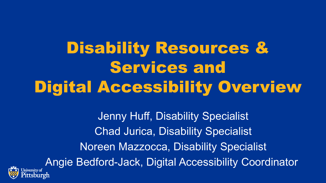Disability Resources & Services and Digital Accessibility Overview

Jenny Huff, Disability Specialist Chad Jurica, Disability Specialist Noreen Mazzocca, Disability Specialist Angie Bedford-Jack, Digital Accessibility Coordinator:sburgh

Jniversity of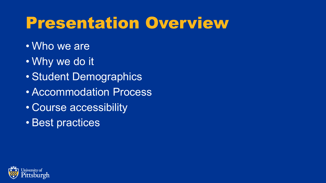## Presentation Overview

- Who we are
- Why we do it
- Student Demographics
- Accommodation Process
- Course accessibility
- Best practices

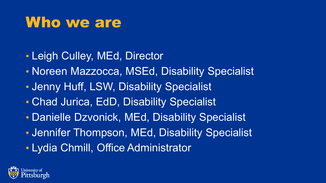### Who we are

- Leigh Culley, MEd, Director
- Noreen Mazzocca, MSEd, Disability Specialist
- Jenny Huff, LSW, Disability Specialist
- Chad Jurica, EdD, Disability Specialist
- Danielle Dzvonick, MEd, Disability Specialist
- Jennifer Thompson, MEd, Disability Specialist
- Lydia Chmill, Office Administrator

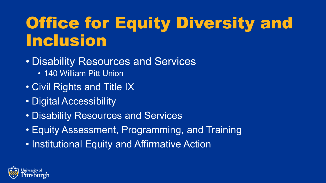# Office for Equity Diversity and Inclusion

- Disability Resources and Services
	- 140 William Pitt Union
- Civil Rights and Title IX
- Digital Accessibility
- Disability Resources and Services
- Equity Assessment, Programming, and Training
- Institutional Equity and Affirmative Action

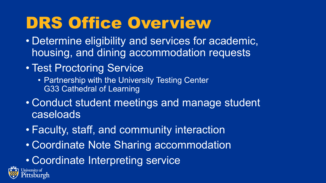## DRS Office Overview

- Determine eligibility and services for academic, housing, and dining accommodation requests
- Test Proctoring Service
	- Partnership with the University Testing Center G33 Cathedral of Learning
- Conduct student meetings and manage student caseloads
- Faculty, staff, and community interaction
- Coordinate Note Sharing accommodation
- Coordinate Interpreting service

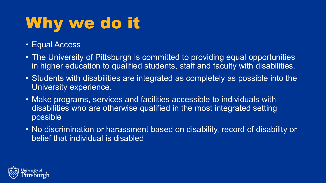# Why we do it

- Equal Access
- The University of Pittsburgh is committed to providing equal opportunities in higher education to qualified students, staff and faculty with disabilities.
- Students with disabilities are integrated as completely as possible into the University experience.
- Make programs, services and facilities accessible to individuals with disabilities who are otherwise qualified in the most integrated setting possible
- No discrimination or harassment based on disability, record of disability or belief that individual is disabled

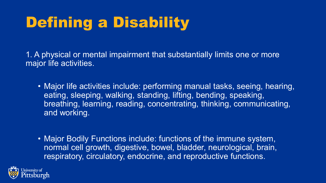## Defining a Disability

1. A physical or mental impairment that substantially limits one or more major life activities.

- Major life activities include: performing manual tasks, seeing, hearing, eating, sleeping, walking, standing, lifting, bending, speaking, breathing, learning, reading, concentrating, thinking, communicating, and working.
- Major Bodily Functions include: functions of the immune system, normal cell growth, digestive, bowel, bladder, neurological, brain, respiratory, circulatory, endocrine, and reproductive functions.

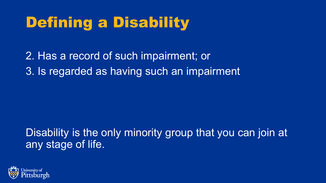## Defining a Disability

2. Has a record of such impairment; or 3. Is regarded as having such an impairment

Disability is the only minority group that you can join at any stage of life.

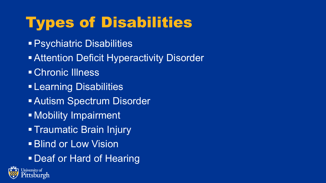## Types of Disabilities

- Psychiatric Disabilities
- **Attention Deficit Hyperactivity Disorder**
- Chronic Illness
- **Earning Disabilities**
- Autism Spectrum Disorder
- Mobility Impairment
- Traumatic Brain Injury
- **Blind or Low Vision**
- Deaf or Hard of Hearing

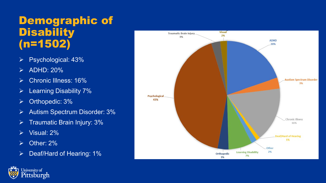#### Demographic of **Disability** (n=1502)

- Psychological: 43%
- $\triangleright$  ADHD: 20%
- Chronic Illness: 16%
- $\triangleright$  Learning Disability 7%
- $\triangleright$  Orthopedic: 3%
- **►** Autism Spectrum Disorder: 3%
- Traumatic Brain Injury: 3%
- Visual: 2%
- $\triangleright$  Other: 2%
- $\triangleright$  Deaf/Hard of Hearing: 1%



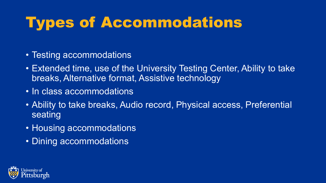## Types of Accommodations

- Testing accommodations
- Extended time, use of the University Testing Center, Ability to take breaks, Alternative format, Assistive technology
- In class accommodations
- Ability to take breaks, Audio record, Physical access, Preferential seating
- Housing accommodations
- Dining accommodations

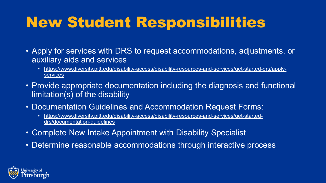## New Student Responsibilities

- Apply for services with DRS to request accommodations, adjustments, or auxiliary aids and services
	- [https://www.diversity.pitt.edu/disability-access/disability-resources-and-services/get-started-drs/apply](https://www.diversity.pitt.edu/disability-access/disability-resources-and-services/get-started-drs/apply-services)services
- Provide appropriate documentation including the diagnosis and functional limitation(s) of the disability
- Documentation Guidelines and Accommodation Request Forms:
	- [https://www.diversity.pitt.edu/disability-access/disability-resources-and-services/get-started](https://www.diversity.pitt.edu/disability-access/disability-resources-and-services/get-started-drs/documentation-guidelines)drs/documentation-guidelines
- Complete New Intake Appointment with Disability Specialist
- Determine reasonable accommodations through interactive process

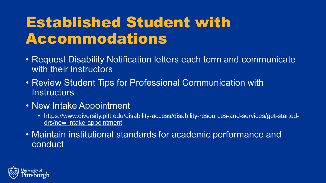### Established Student with Accommodations

- Request Disability Notification letters each term and communicate with their Instructors
- Review Student Tips for Professional Communication with **Instructors**
- New Intake Appointment
	- [https://www.diversity.pitt.edu/disability-access/disability-resources-and-services/get-started](https://www.diversity.pitt.edu/disability-access/disability-resources-and-services/get-started-drs/new-intake-appointment)drs/new-intake-appointment
- Maintain institutional standards for academic performance and conduct

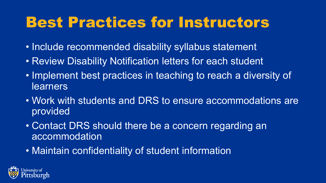### Best Practices for Instructors

- Include recommended disability syllabus statement
- Review Disability Notification letters for each student
- Implement best practices in teaching to reach a diversity of learners
- Work with students and DRS to ensure accommodations are provided
- Contact DRS should there be a concern regarding an accommodation
- Maintain confidentiality of student information

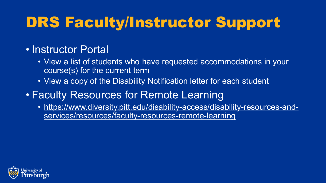## DRS Faculty/Instructor Support

#### • Instructor Portal

- View a list of students who have requested accommodations in your course(s) for the current term
- View a copy of the Disability Notification letter for each student
- Faculty Resources for Remote Learning
	- https://www.diversity.pitt.edu/disability-access/disability-resources-andservices/resources/faculty-resources-remote-learning

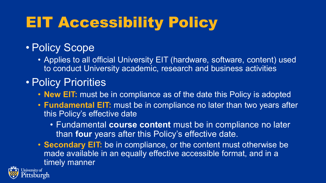## EIT Accessibility Policy

#### • Policy Scope

• Applies to all official University EIT (hardware, software, content) used to conduct University academic, research and business activities

#### • Policy Priorities

Jniversity of tsburgh

- **New EIT:** must be in compliance as of the date this Policy is adopted
- **Fundamental EIT:** must be in compliance no later than two years after this Policy's effective date
	- Fundamental **course content** must be in compliance no later than **four** years after this Policy's effective date.
- **Secondary EIT:** be in compliance, or the content must otherwise be made available in an equally effective accessible format, and in a timely manner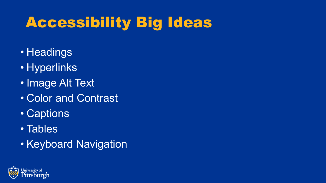## Accessibility Big Ideas

- Headings
- Hyperlinks
- Image Alt Text
- Color and Contrast
- Captions
- Tables
- Keyboard Navigation

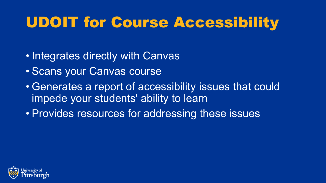## UDOIT for Course Accessibility

- Integrates directly with Canvas
- Scans your Canvas course
- Generates a report of accessibility issues that could impede your students' ability to learn
- Provides resources for addressing these issues